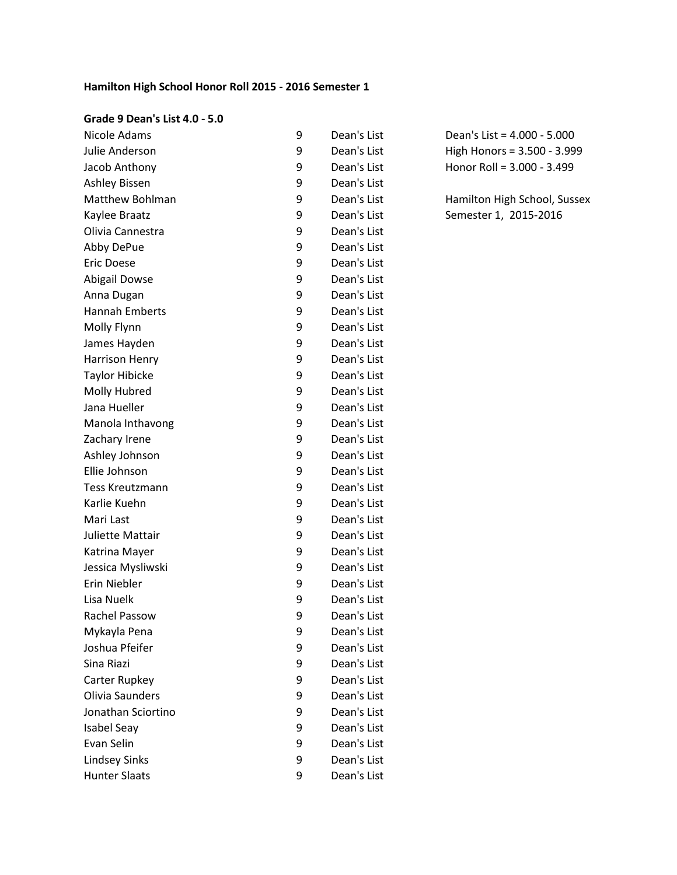# **Hamilton High School Honor Roll 2015 - 2016 Semester 1**

#### **Grade 9 Dean's List 4.0 - 5.0**

| Nicole Adams           | 9 | Dean's List |
|------------------------|---|-------------|
| Julie Anderson         | 9 | Dean's List |
| Jacob Anthony          | 9 | Dean's List |
| <b>Ashley Bissen</b>   | 9 | Dean's List |
| Matthew Bohlman        | 9 | Dean's List |
| Kaylee Braatz          | 9 | Dean's List |
| Olivia Cannestra       | 9 | Dean's List |
| Abby DePue             | 9 | Dean's List |
| <b>Eric Doese</b>      | 9 | Dean's List |
| <b>Abigail Dowse</b>   | 9 | Dean's List |
| Anna Dugan             | 9 | Dean's List |
| <b>Hannah Emberts</b>  | 9 | Dean's List |
| Molly Flynn            | 9 | Dean's List |
| James Hayden           | 9 | Dean's List |
| Harrison Henry         | 9 | Dean's List |
| <b>Taylor Hibicke</b>  | 9 | Dean's List |
| Molly Hubred           | 9 | Dean's List |
| Jana Hueller           | 9 | Dean's List |
| Manola Inthavong       | 9 | Dean's List |
| Zachary Irene          | 9 | Dean's List |
| Ashley Johnson         | 9 | Dean's List |
| Ellie Johnson          | 9 | Dean's List |
| <b>Tess Kreutzmann</b> | 9 | Dean's List |
| Karlie Kuehn           | 9 | Dean's List |
| Mari Last              | 9 | Dean's List |
| Juliette Mattair       | 9 | Dean's List |
| Katrina Mayer          | 9 | Dean's List |
| Jessica Mysliwski      | 9 | Dean's List |
| Erin Niebler           | 9 | Dean's List |
| Lisa Nuelk             | 9 | Dean's List |
| Rachel Passow          | 9 | Dean's List |
| Mykayla Pena           | 9 | Dean's List |
| Joshua Pfeifer         | 9 | Dean's List |
| Sina Riazi             | 9 | Dean's List |
| Carter Rupkey          | 9 | Dean's List |
| Olivia Saunders        | 9 | Dean's List |
| Jonathan Sciortino     | 9 | Dean's List |
| <b>Isabel Seay</b>     | 9 | Dean's List |
| Evan Selin             | 9 | Dean's List |
| <b>Lindsey Sinks</b>   | 9 | Dean's List |
| <b>Hunter Slaats</b>   | 9 | Dean's List |

Dean's List =  $4.000 - 5.000$ High Honors =  $3.500 - 3.999$ Honor Roll =  $3.000 - 3.499$ 

Hamilton High School, Sussex Semester 1, 2015-2016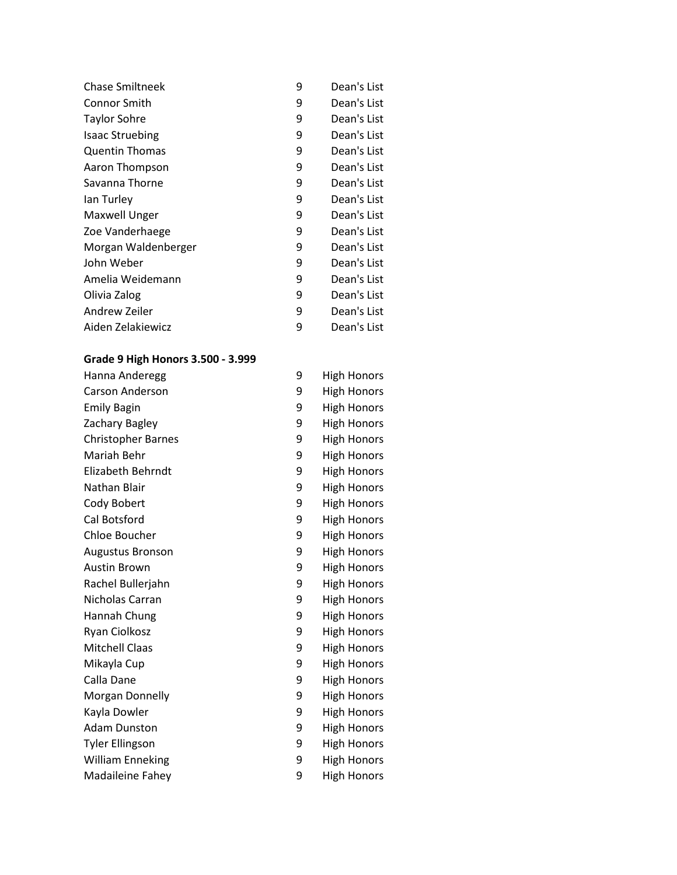| <b>Chase Smiltneek</b> | 9 | Dean's List |
|------------------------|---|-------------|
| Connor Smith           | 9 | Dean's List |
| Taylor Sohre           | 9 | Dean's List |
| <b>Isaac Struebing</b> | 9 | Dean's List |
| <b>Quentin Thomas</b>  | 9 | Dean's List |
| Aaron Thompson         | 9 | Dean's List |
| Savanna Thorne         | 9 | Dean's List |
| lan Turley             | 9 | Dean's List |
| <b>Maxwell Unger</b>   | 9 | Dean's List |
| Zoe Vanderhaege        | 9 | Dean's List |
| Morgan Waldenberger    | 9 | Dean's List |
| John Weber             | 9 | Dean's List |
| Amelia Weidemann       | 9 | Dean's List |
| Olivia Zalog           | 9 | Dean's List |
| Andrew Zeiler          | 9 | Dean's List |
| Aiden Zelakiewicz      | 9 | Dean's List |

# **Grade 9 High Honors 3.500 - 3.999**

| Hanna Anderegg            | 9 | <b>High Honors</b> |
|---------------------------|---|--------------------|
| Carson Anderson           | 9 | <b>High Honors</b> |
| <b>Emily Bagin</b>        | 9 | <b>High Honors</b> |
| Zachary Bagley            | 9 | <b>High Honors</b> |
| <b>Christopher Barnes</b> | 9 | <b>High Honors</b> |
| Mariah Behr               | 9 | <b>High Honors</b> |
| Elizabeth Behrndt         | 9 | <b>High Honors</b> |
| Nathan Blair              | 9 | <b>High Honors</b> |
| Cody Bobert               | 9 | <b>High Honors</b> |
| Cal Botsford              | 9 | <b>High Honors</b> |
| Chloe Boucher             | 9 | <b>High Honors</b> |
| <b>Augustus Bronson</b>   | 9 | <b>High Honors</b> |
| <b>Austin Brown</b>       | 9 | <b>High Honors</b> |
| Rachel Bullerjahn         | 9 | <b>High Honors</b> |
| Nicholas Carran           | 9 | <b>High Honors</b> |
| Hannah Chung              | 9 | <b>High Honors</b> |
| Ryan Ciolkosz             | 9 | <b>High Honors</b> |
| <b>Mitchell Claas</b>     | 9 | <b>High Honors</b> |
| Mikayla Cup               | 9 | <b>High Honors</b> |
| Calla Dane                | 9 | <b>High Honors</b> |
| Morgan Donnelly           | 9 | <b>High Honors</b> |
| Kayla Dowler              | 9 | <b>High Honors</b> |
| <b>Adam Dunston</b>       | 9 | <b>High Honors</b> |
| <b>Tyler Ellingson</b>    | 9 | <b>High Honors</b> |
| <b>William Enneking</b>   | 9 | <b>High Honors</b> |
| Madaileine Fahey          | 9 | <b>High Honors</b> |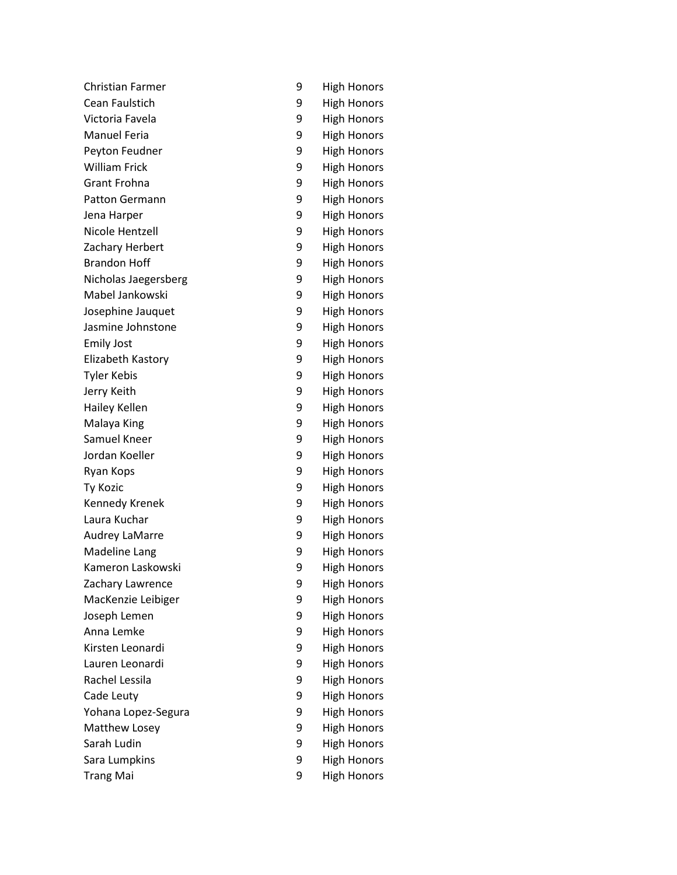| <b>Christian Farmer</b> | 9 |
|-------------------------|---|
| Cean Faulstich          | 9 |
| Victoria Favela         | 9 |
| <b>Manuel Feria</b>     | 9 |
| Peyton Feudner          | 9 |
| <b>William Frick</b>    | 9 |
| Grant Frohna            | 9 |
| <b>Patton Germann</b>   | 9 |
| Jena Harper             | 9 |
| Nicole Hentzell         | 9 |
| Zachary Herbert         | 9 |
| <b>Brandon Hoff</b>     | 9 |
| Nicholas Jaegersberg    | 9 |
| Mabel Jankowski         | 9 |
| Josephine Jauquet       | 9 |
| Jasmine Johnstone       | 9 |
| <b>Emily Jost</b>       | 9 |
| Elizabeth Kastory       | 9 |
| <b>Tyler Kebis</b>      | 9 |
| Jerry Keith             | 9 |
| Hailey Kellen           | 9 |
| Malaya King             | 9 |
| Samuel Kneer            | 9 |
| Jordan Koeller          | 9 |
| Ryan Kops               | 9 |
| <b>Ty Kozic</b>         | 9 |
| Kennedy Krenek          | 9 |
| Laura Kuchar            | 9 |
| <b>Audrey LaMarre</b>   | 9 |
| <b>Madeline Lang</b>    | 9 |
| Kameron Laskowski       | 9 |
| Zachary Lawrence        | 9 |
| MacKenzie Leibiger      | 9 |
| Joseph Lemen            | 9 |
| Anna Lemke              | 9 |
| Kirsten Leonardi        | 9 |
| Lauren Leonardi         | 9 |
| Rachel Lessila          | 9 |
| Cade Leuty              | 9 |
| Yohana Lopez-Segura     | 9 |
| Matthew Losey           | 9 |
| Sarah Ludin             | 9 |
| Sara Lumpkins           | 9 |
| <b>Trang Mai</b>        | 9 |

| 9                | <b>High Honors</b> |
|------------------|--------------------|
| 9                | <b>High Honors</b> |
| 9                | <b>High Honors</b> |
| 9                | <b>High Honors</b> |
| 9                | <b>High Honors</b> |
| 9                | <b>High Honors</b> |
| 9                | <b>High Honors</b> |
| 9                | <b>High Honors</b> |
| 9<br>9<br>9<br>9 | <b>High Honors</b> |
|                  | <b>High Honors</b> |
|                  | <b>High Honors</b> |
|                  | <b>High Honors</b> |
| 9                | <b>High Honors</b> |
| 9                | <b>High Honors</b> |
| 9<br>9<br>9      | <b>High Honors</b> |
|                  | <b>High Honors</b> |
|                  | <b>High Honors</b> |
| 9                | <b>High Honors</b> |
| 9                | <b>High Honors</b> |
| 9                | <b>High Honors</b> |
| 9<br>9           | <b>High Honors</b> |
|                  | <b>High Honors</b> |
| 9                | <b>High Honors</b> |
| 9                | <b>High Honors</b> |
| 9                | <b>High Honors</b> |
| 9                | <b>High Honors</b> |
| 9                | <b>High Honors</b> |
| 9                | <b>High Honors</b> |
| 9                | <b>High Honors</b> |
| 9                | <b>High Honors</b> |
| 9                | High Honors        |
| 9                | <b>High Honors</b> |
| 9                | <b>High Honors</b> |
| 9<br>9<br>9      | <b>High Honors</b> |
|                  | High Honors        |
|                  | <b>High Honors</b> |
| 9                | <b>High Honors</b> |
|                  | <b>High Honors</b> |
|                  | <b>High Honors</b> |
| 9<br>9<br>9      | <b>High Honors</b> |
|                  | High Honors        |
| 9                | <b>High Honors</b> |
| 9                | <b>High Honors</b> |
| 9                | High Honors        |
|                  |                    |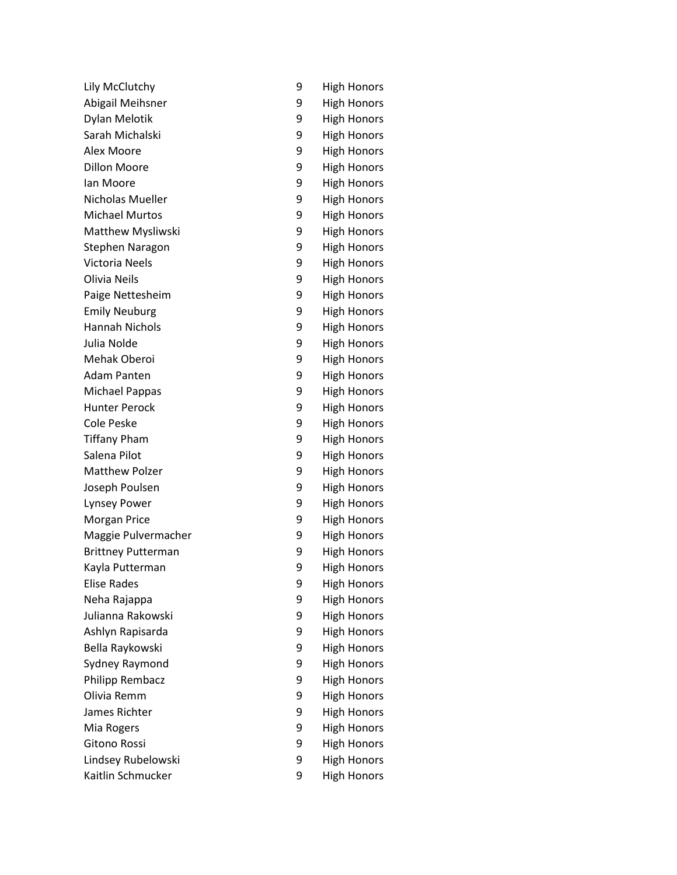| Lily McClutchy            | 9 |
|---------------------------|---|
| Abigail Meihsner          | 9 |
| Dylan Melotik             | 9 |
| Sarah Michalski           | 9 |
| Alex Moore                | 9 |
| <b>Dillon Moore</b>       | 9 |
| lan Moore                 | 9 |
| Nicholas Mueller          | 9 |
| <b>Michael Murtos</b>     | 9 |
| <b>Matthew Mysliwski</b>  | 9 |
| Stephen Naragon           | 9 |
| Victoria Neels            | 9 |
| Olivia Neils              | 9 |
| Paige Nettesheim          | 9 |
| <b>Emily Neuburg</b>      | 9 |
| <b>Hannah Nichols</b>     | 9 |
| Julia Nolde               | 9 |
| Mehak Oberoi              | 9 |
| <b>Adam Panten</b>        | 9 |
| <b>Michael Pappas</b>     | 9 |
| <b>Hunter Perock</b>      | 9 |
| <b>Cole Peske</b>         | 9 |
| <b>Tiffany Pham</b>       | 9 |
| Salena Pilot              | 9 |
| <b>Matthew Polzer</b>     | 9 |
| Joseph Poulsen            | 9 |
| <b>Lynsey Power</b>       | 9 |
| Morgan Price              | 9 |
| Maggie Pulvermacher       | 9 |
| <b>Brittney Putterman</b> | 9 |
| Kayla Putterman           | 9 |
| <b>Elise Rades</b>        | 9 |
| Neha Rajappa              | 9 |
| Julianna Rakowski         | 9 |
| Ashlyn Rapisarda          | 9 |
| Bella Raykowski           | 9 |
| Sydney Raymond            | 9 |
| <b>Philipp Rembacz</b>    | 9 |
| Olivia Remm               | 9 |
| James Richter             | 9 |
| Mia Rogers                | 9 |
| <b>Gitono Rossi</b>       | 9 |
| Lindsey Rubelowski        | 9 |
| Kaitlin Schmucker         | 9 |

**High Honors** 

**High Honors** 

**High Honors** 

**High Honors** 

High Honors

**High Honors** 

High Honors

High Honors

**High Honors** 

**High Honors** 

High Honors

**High Honors** 

**High Honors** 

High Honors

**High Honors** 

**High Honors** 

High Honors

**High Honors** 

High Honors

High Honors

**High Honors** 

High Honors

High Honors

**High Honors** 

**High Honors** 

High Honors

**High Honors** 

High Honors

**High Honors** 

**High Honors** 

High Honors

High Honors

**High Honors** 

High Honors

**High Honors** 

**High Honors** 

**High Honors** 

High Honors

**High Honors** 

**High Honors** 

High Honors

**High Honors** 

**High Honors** 

**High Honors**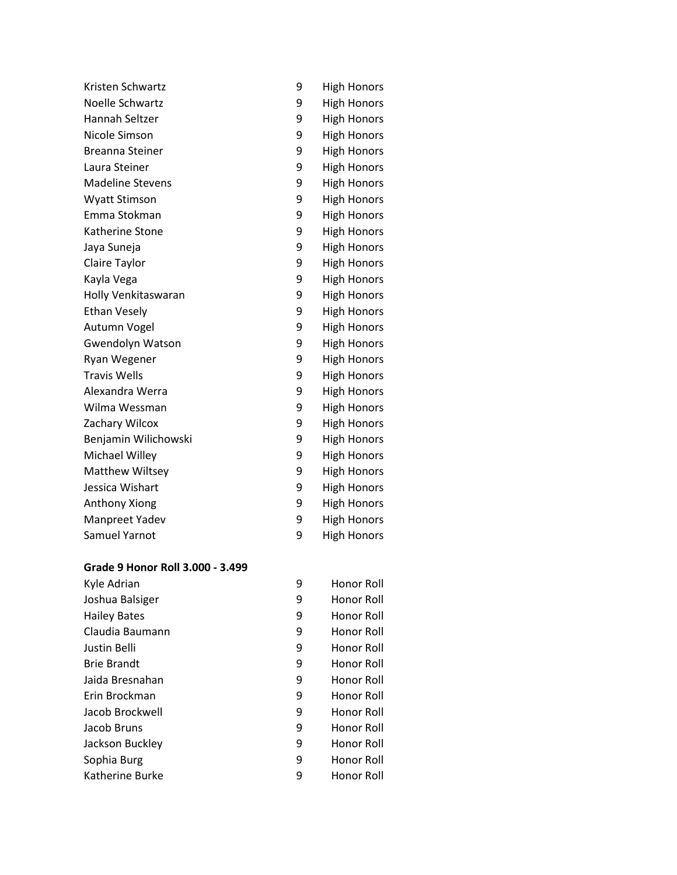| Kristen Schwartz        | 9 | <b>High Honors</b> |
|-------------------------|---|--------------------|
| Noelle Schwartz         | 9 | <b>High Honors</b> |
| Hannah Seltzer          | 9 | <b>High Honors</b> |
| Nicole Simson           | 9 | <b>High Honors</b> |
| <b>Breanna Steiner</b>  | 9 | <b>High Honors</b> |
| Laura Steiner           | 9 | <b>High Honors</b> |
| <b>Madeline Stevens</b> | 9 | <b>High Honors</b> |
| <b>Wyatt Stimson</b>    | 9 | <b>High Honors</b> |
| Emma Stokman            | 9 | <b>High Honors</b> |
| Katherine Stone         | 9 | <b>High Honors</b> |
| Jaya Suneja             | 9 | <b>High Honors</b> |
| Claire Taylor           | 9 | <b>High Honors</b> |
| Kayla Vega              | 9 | <b>High Honors</b> |
| Holly Venkitaswaran     | 9 | <b>High Honors</b> |
| <b>Ethan Vesely</b>     | 9 | <b>High Honors</b> |
| Autumn Vogel            | 9 | <b>High Honors</b> |
| <b>Gwendolyn Watson</b> | 9 | <b>High Honors</b> |
| Ryan Wegener            | 9 | <b>High Honors</b> |
| <b>Travis Wells</b>     | 9 | <b>High Honors</b> |
| Alexandra Werra         | 9 | <b>High Honors</b> |
| Wilma Wessman           | 9 | <b>High Honors</b> |
| Zachary Wilcox          | 9 | <b>High Honors</b> |
| Benjamin Wilichowski    | 9 | <b>High Honors</b> |
| Michael Willey          | 9 | <b>High Honors</b> |
| <b>Matthew Wiltsey</b>  | 9 | <b>High Honors</b> |
| Jessica Wishart         | 9 | <b>High Honors</b> |
| Anthony Xiong           | 9 | <b>High Honors</b> |
| Manpreet Yadev          | 9 | <b>High Honors</b> |
| Samuel Yarnot           | 9 | <b>High Honors</b> |
|                         |   |                    |

## **Grade 9 Honor Roll 3.000 - 3.499**

| Kyle Adrian         | 9 | Honor Roll |
|---------------------|---|------------|
| Joshua Balsiger     | 9 | Honor Roll |
| <b>Hailey Bates</b> | 9 | Honor Roll |
| Claudia Baumann     | 9 | Honor Roll |
| Justin Belli        | 9 | Honor Roll |
| <b>Brie Brandt</b>  | 9 | Honor Roll |
| Jaida Bresnahan     | 9 | Honor Roll |
| Erin Brockman       | 9 | Honor Roll |
| Jacob Brockwell     | 9 | Honor Roll |
| Jacob Bruns         | 9 | Honor Roll |
| Jackson Buckley     | 9 | Honor Roll |
| Sophia Burg         | 9 | Honor Roll |
| Katherine Burke     | 9 | Honor Roll |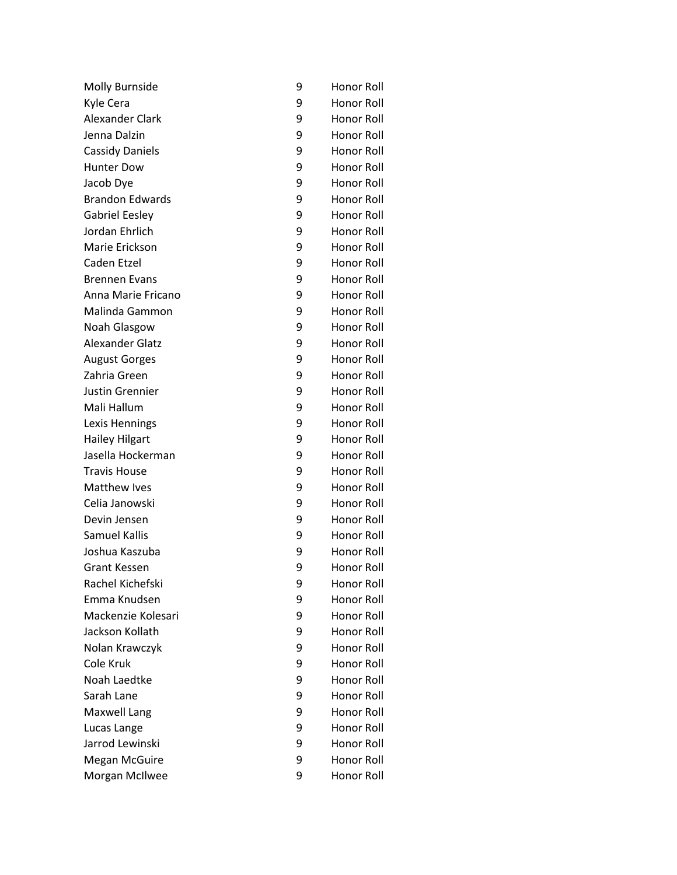| Molly Burnside         | 9 | Honor Roll        |
|------------------------|---|-------------------|
| Kyle Cera              | 9 | <b>Honor Roll</b> |
| <b>Alexander Clark</b> | 9 | Honor Roll        |
| Jenna Dalzin           | 9 | Honor Roll        |
| <b>Cassidy Daniels</b> | 9 | Honor Roll        |
| <b>Hunter Dow</b>      | 9 | Honor Roll        |
| Jacob Dye              | 9 | Honor Roll        |
| <b>Brandon Edwards</b> | 9 | Honor Roll        |
| <b>Gabriel Eesley</b>  | 9 | Honor Roll        |
| Jordan Ehrlich         | 9 | Honor Roll        |
| Marie Erickson         | 9 | Honor Roll        |
| Caden Etzel            | 9 | Honor Roll        |
| <b>Brennen Evans</b>   | 9 | Honor Roll        |
| Anna Marie Fricano     | 9 | Honor Roll        |
| Malinda Gammon         | 9 | Honor Roll        |
| Noah Glasgow           | 9 | Honor Roll        |
| <b>Alexander Glatz</b> | 9 | Honor Roll        |
| <b>August Gorges</b>   | 9 | <b>Honor Roll</b> |
| Zahria Green           | 9 | <b>Honor Roll</b> |
| <b>Justin Grennier</b> | 9 | <b>Honor Roll</b> |
| Mali Hallum            | 9 | Honor Roll        |
| Lexis Hennings         | 9 | Honor Roll        |
| <b>Hailey Hilgart</b>  | 9 | Honor Roll        |
| Jasella Hockerman      | 9 | Honor Roll        |
| <b>Travis House</b>    | 9 | Honor Roll        |
| Matthew Ives           | 9 | Honor Roll        |
| Celia Janowski         | 9 | Honor Roll        |
| Devin Jensen           | 9 | Honor Roll        |
| <b>Samuel Kallis</b>   | 9 | <b>Honor Roll</b> |
| Joshua Kaszuba         | 9 | Honor Roll        |
| <b>Grant Kessen</b>    | 9 | Honor Roll        |
| Rachel Kichefski       | 9 | Honor Roll        |
| Emma Knudsen           | 9 | Honor Roll        |
| Mackenzie Kolesari     | 9 | <b>Honor Roll</b> |
| Jackson Kollath        | 9 | <b>Honor Roll</b> |
| Nolan Krawczyk         | 9 | Honor Roll        |
| Cole Kruk              | 9 | <b>Honor Roll</b> |
| Noah Laedtke           | 9 | Honor Roll        |
| Sarah Lane             | 9 | Honor Roll        |
| <b>Maxwell Lang</b>    | 9 | Honor Roll        |
| Lucas Lange            | 9 | Honor Roll        |
| Jarrod Lewinski        | 9 | Honor Roll        |
| <b>Megan McGuire</b>   | 9 | Honor Roll        |
| Morgan McIlwee         | 9 | Honor Roll        |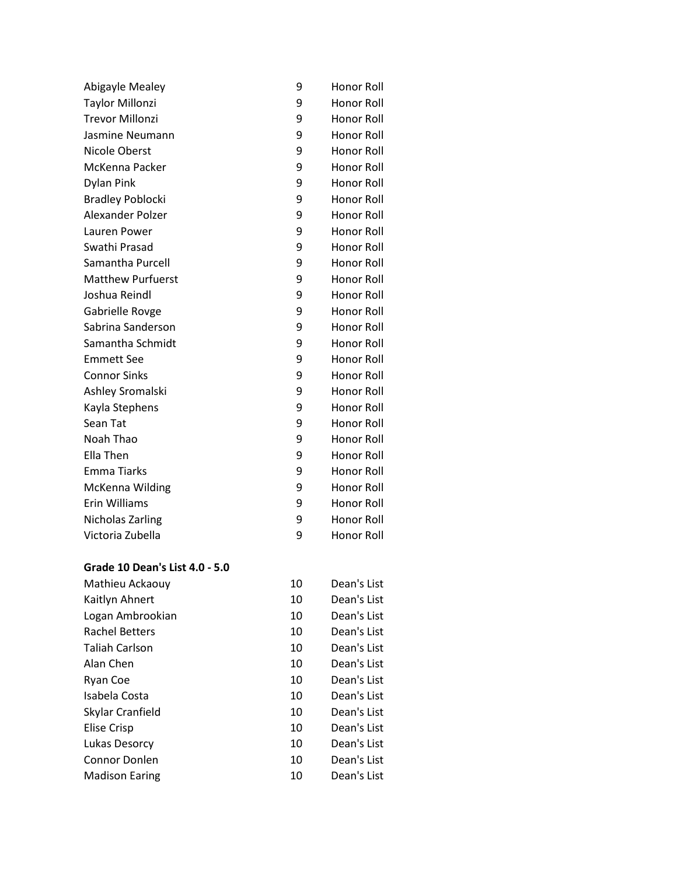| Taylor Millonzi          | 9 | Honor Roll        |
|--------------------------|---|-------------------|
| <b>Trevor Millonzi</b>   | 9 | Honor Roll        |
| Jasmine Neumann          | 9 | Honor Roll        |
| <b>Nicole Oberst</b>     | 9 | Honor Roll        |
| McKenna Packer           | 9 | Honor Roll        |
| <b>Dylan Pink</b>        | 9 | Honor Roll        |
| <b>Bradley Poblocki</b>  | 9 | Honor Roll        |
| Alexander Polzer         | 9 | Honor Roll        |
| Lauren Power             | 9 | Honor Roll        |
| Swathi Prasad            | 9 | Honor Roll        |
| Samantha Purcell         | 9 | Honor Roll        |
| <b>Matthew Purfuerst</b> | 9 | Honor Roll        |
| Joshua Reindl            | 9 | Honor Roll        |
| Gabrielle Rovge          | 9 | Honor Roll        |
| Sabrina Sanderson        | 9 | Honor Roll        |
| Samantha Schmidt         | 9 | <b>Honor Roll</b> |
| <b>Emmett See</b>        | 9 | Honor Roll        |
| <b>Connor Sinks</b>      | 9 | Honor Roll        |
| Ashley Sromalski         | 9 | Honor Roll        |
| Kayla Stephens           | 9 | Honor Roll        |
| Sean Tat                 | 9 | Honor Roll        |
| Noah Thao                | 9 | Honor Roll        |
| Ella Then                | 9 | Honor Roll        |
| <b>Emma Tiarks</b>       | 9 | Honor Roll        |
| McKenna Wilding          | 9 | Honor Roll        |
| Erin Williams            | 9 | Honor Roll        |
| Nicholas Zarling         | 9 | Honor Roll        |
| Victoria Zubella         | 9 | Honor Roll        |

#### **Grade 10 Dean's List 4.0 - 5.0**

| Mathieu Ackaouy       | 10 | Dean's List |
|-----------------------|----|-------------|
| Kaitlyn Ahnert        | 10 | Dean's List |
| Logan Ambrookian      | 10 | Dean's List |
| <b>Rachel Betters</b> | 10 | Dean's List |
| <b>Taliah Carlson</b> | 10 | Dean's List |
| Alan Chen             | 10 | Dean's List |
| Ryan Coe              | 10 | Dean's List |
| Isabela Costa         | 10 | Dean's List |
| Skylar Cranfield      | 10 | Dean's List |
| <b>Elise Crisp</b>    | 10 | Dean's List |
| Lukas Desorcy         | 10 | Dean's List |
| Connor Donlen         | 10 | Dean's List |
| <b>Madison Earing</b> | 10 | Dean's List |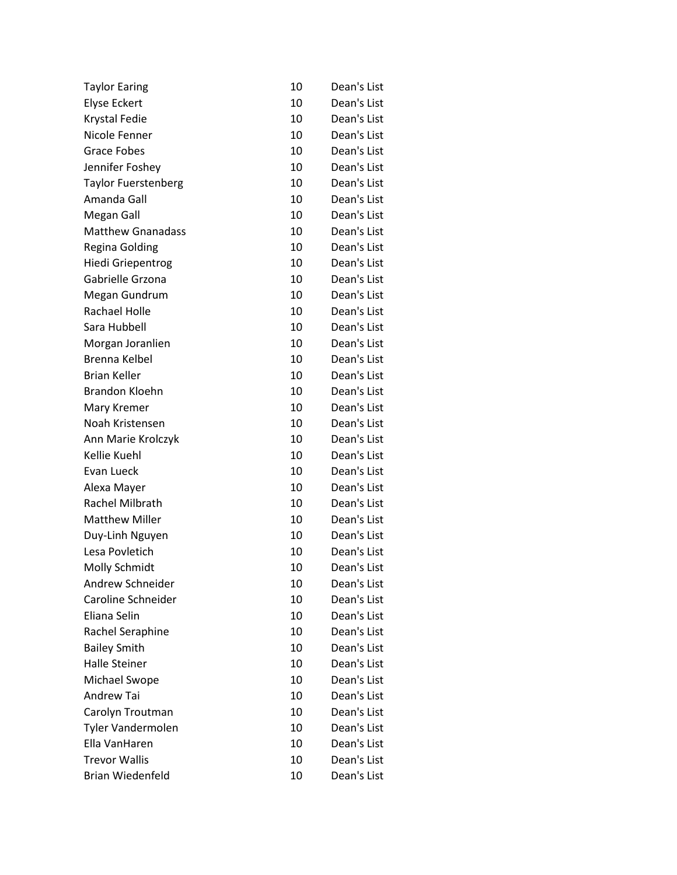| <b>Taylor Earing</b>       | 10 | Dean's List |
|----------------------------|----|-------------|
| <b>Elyse Eckert</b>        | 10 | Dean's List |
| Krystal Fedie              | 10 | Dean's List |
| Nicole Fenner              | 10 | Dean's List |
| <b>Grace Fobes</b>         | 10 | Dean's List |
| Jennifer Foshey            | 10 | Dean's List |
| <b>Taylor Fuerstenberg</b> | 10 | Dean's List |
| Amanda Gall                | 10 | Dean's List |
| Megan Gall                 | 10 | Dean's List |
| <b>Matthew Gnanadass</b>   | 10 | Dean's List |
| <b>Regina Golding</b>      | 10 | Dean's List |
| <b>Hiedi Griepentrog</b>   | 10 | Dean's List |
| Gabrielle Grzona           | 10 | Dean's List |
| Megan Gundrum              | 10 | Dean's List |
| <b>Rachael Holle</b>       | 10 | Dean's List |
| Sara Hubbell               | 10 | Dean's List |
| Morgan Joranlien           | 10 | Dean's List |
| Brenna Kelbel              | 10 | Dean's List |
| <b>Brian Keller</b>        | 10 | Dean's List |
| <b>Brandon Kloehn</b>      | 10 | Dean's List |
| Mary Kremer                | 10 | Dean's List |
| Noah Kristensen            | 10 | Dean's List |
| Ann Marie Krolczyk         | 10 | Dean's List |
| Kellie Kuehl               | 10 | Dean's List |
| Evan Lueck                 | 10 | Dean's List |
| Alexa Mayer                | 10 | Dean's List |
| Rachel Milbrath            | 10 | Dean's List |
| <b>Matthew Miller</b>      | 10 | Dean's List |
| Duy-Linh Nguyen            | 10 | Dean's List |
| Lesa Povletich             | 10 | Dean's List |
| Molly Schmidt              | 10 | Dean's List |
| Andrew Schneider           | 10 | Dean's List |
| Caroline Schneider         | 10 | Dean's List |
| Eliana Selin               | 10 | Dean's List |
| Rachel Seraphine           | 10 | Dean's List |
| <b>Bailey Smith</b>        | 10 | Dean's List |
| <b>Halle Steiner</b>       | 10 | Dean's List |
| Michael Swope              | 10 | Dean's List |
| Andrew Tai                 | 10 | Dean's List |
| Carolyn Troutman           | 10 | Dean's List |
| Tyler Vandermolen          | 10 | Dean's List |
| Ella VanHaren              | 10 | Dean's List |
| <b>Trevor Wallis</b>       | 10 | Dean's List |
| <b>Brian Wiedenfeld</b>    | 10 | Dean's List |
|                            |    |             |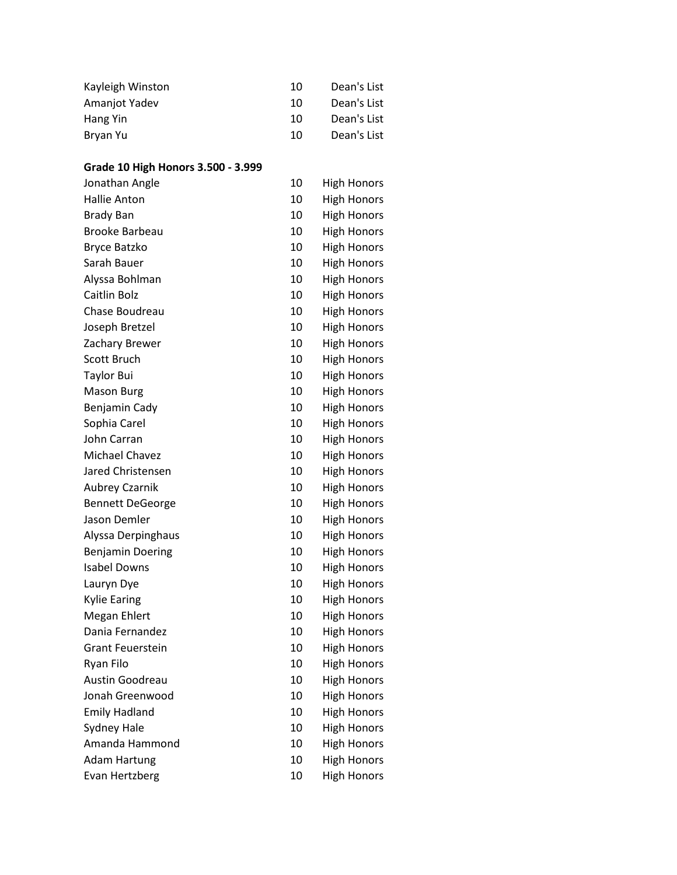| Kayleigh Winston | 10 | Dean's List |
|------------------|----|-------------|
| Amanjot Yadev    | 10 | Dean's List |
| Hang Yin         | 10 | Dean's List |
| Bryan Yu         | 10 | Dean's List |

# **Grade 10 High Honors 3.500 - 3.999**

| Jonathan Angle          | 10 | <b>High Honors</b> |
|-------------------------|----|--------------------|
| <b>Hallie Anton</b>     | 10 | <b>High Honors</b> |
| <b>Brady Ban</b>        | 10 | <b>High Honors</b> |
| <b>Brooke Barbeau</b>   | 10 | <b>High Honors</b> |
| <b>Bryce Batzko</b>     | 10 | <b>High Honors</b> |
| Sarah Bauer             | 10 | <b>High Honors</b> |
| Alyssa Bohlman          | 10 | <b>High Honors</b> |
| Caitlin Bolz            | 10 | <b>High Honors</b> |
| Chase Boudreau          | 10 | <b>High Honors</b> |
| Joseph Bretzel          | 10 | <b>High Honors</b> |
| Zachary Brewer          | 10 | <b>High Honors</b> |
| Scott Bruch             | 10 | <b>High Honors</b> |
| <b>Taylor Bui</b>       | 10 | <b>High Honors</b> |
| <b>Mason Burg</b>       | 10 | <b>High Honors</b> |
| Benjamin Cady           | 10 | <b>High Honors</b> |
| Sophia Carel            | 10 | <b>High Honors</b> |
| John Carran             | 10 | <b>High Honors</b> |
| Michael Chavez          | 10 | <b>High Honors</b> |
| Jared Christensen       | 10 | <b>High Honors</b> |
| <b>Aubrey Czarnik</b>   | 10 | <b>High Honors</b> |
| <b>Bennett DeGeorge</b> | 10 | <b>High Honors</b> |
| Jason Demler            | 10 | <b>High Honors</b> |
| Alyssa Derpinghaus      | 10 | <b>High Honors</b> |
| <b>Benjamin Doering</b> | 10 | <b>High Honors</b> |
| <b>Isabel Downs</b>     | 10 | <b>High Honors</b> |
| Lauryn Dye              | 10 | <b>High Honors</b> |
| <b>Kylie Earing</b>     | 10 | <b>High Honors</b> |
| Megan Ehlert            | 10 | <b>High Honors</b> |
| Dania Fernandez         | 10 | <b>High Honors</b> |
| <b>Grant Feuerstein</b> | 10 | <b>High Honors</b> |
| Ryan Filo               | 10 | <b>High Honors</b> |
| Austin Goodreau         | 10 | <b>High Honors</b> |
| Jonah Greenwood         | 10 | <b>High Honors</b> |
| <b>Emily Hadland</b>    | 10 | <b>High Honors</b> |
| <b>Sydney Hale</b>      | 10 | <b>High Honors</b> |
| Amanda Hammond          | 10 | <b>High Honors</b> |
| <b>Adam Hartung</b>     | 10 | <b>High Honors</b> |
| Evan Hertzberg          | 10 | <b>High Honors</b> |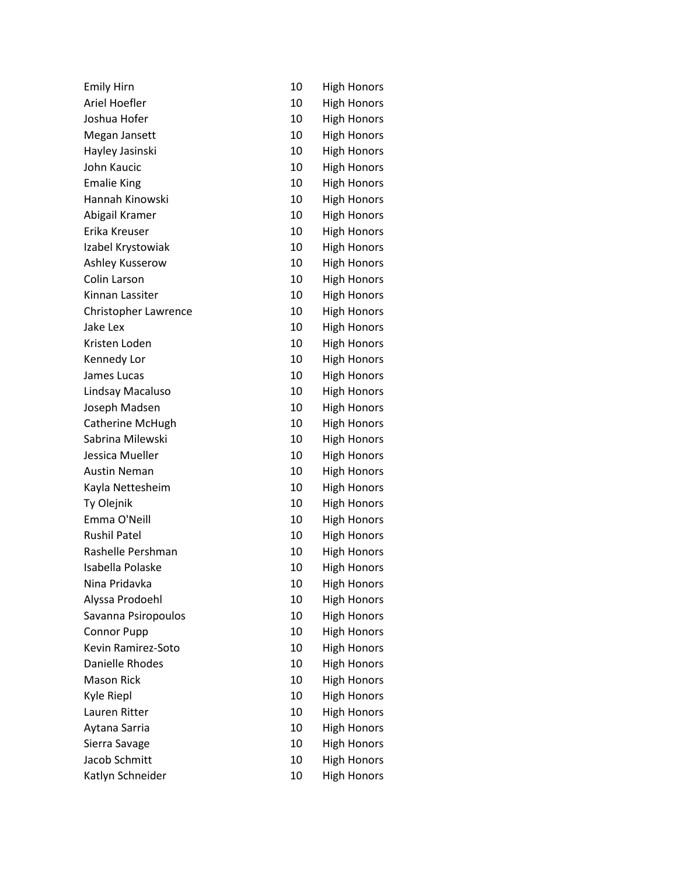| <b>Emily Hirn</b>       | 10 | <b>High Honors</b> |
|-------------------------|----|--------------------|
| Ariel Hoefler           | 10 | <b>High Honors</b> |
| Joshua Hofer            | 10 | <b>High Honors</b> |
| Megan Jansett           | 10 | <b>High Honors</b> |
| Hayley Jasinski         | 10 | <b>High Honors</b> |
| John Kaucic             | 10 | <b>High Honors</b> |
| <b>Emalie King</b>      | 10 | <b>High Honors</b> |
| Hannah Kinowski         | 10 | <b>High Honors</b> |
| Abigail Kramer          | 10 | <b>High Honors</b> |
| Erika Kreuser           | 10 | <b>High Honors</b> |
| Izabel Krystowiak       | 10 | <b>High Honors</b> |
| Ashley Kusserow         | 10 | <b>High Honors</b> |
| Colin Larson            | 10 | <b>High Honors</b> |
| Kinnan Lassiter         | 10 | <b>High Honors</b> |
| Christopher Lawrence    | 10 | <b>High Honors</b> |
| Jake Lex                | 10 | <b>High Honors</b> |
| Kristen Loden           | 10 | <b>High Honors</b> |
| Kennedy Lor             | 10 | <b>High Honors</b> |
| James Lucas             | 10 | <b>High Honors</b> |
| Lindsay Macaluso        | 10 | <b>High Honors</b> |
| Joseph Madsen           | 10 | <b>High Honors</b> |
| <b>Catherine McHugh</b> | 10 | <b>High Honors</b> |
| Sabrina Milewski        | 10 | <b>High Honors</b> |
| Jessica Mueller         | 10 | <b>High Honors</b> |
| <b>Austin Neman</b>     | 10 | <b>High Honors</b> |
| Kayla Nettesheim        | 10 | High Honors        |
| Ty Olejnik              | 10 | <b>High Honors</b> |
| Emma O'Neill            | 10 | <b>High Honors</b> |
| <b>Rushil Patel</b>     | 10 | <b>High Honors</b> |
| Rashelle Pershman       | 10 | <b>High Honors</b> |
| Isabella Polaske        | 10 | <b>High Honors</b> |
| Nina Pridavka           | 10 | <b>High Honors</b> |
| Alyssa Prodoehl         | 10 | <b>High Honors</b> |
| Savanna Psiropoulos     | 10 | <b>High Honors</b> |
| <b>Connor Pupp</b>      | 10 | <b>High Honors</b> |
| Kevin Ramirez-Soto      | 10 | <b>High Honors</b> |
| Danielle Rhodes         | 10 | <b>High Honors</b> |
| <b>Mason Rick</b>       | 10 | <b>High Honors</b> |
| Kyle Riepl              | 10 | <b>High Honors</b> |
| Lauren Ritter           | 10 | <b>High Honors</b> |
| Aytana Sarria           | 10 | <b>High Honors</b> |
| Sierra Savage           | 10 | <b>High Honors</b> |
| Jacob Schmitt           | 10 | <b>High Honors</b> |
| Katlyn Schneider        | 10 | <b>High Honors</b> |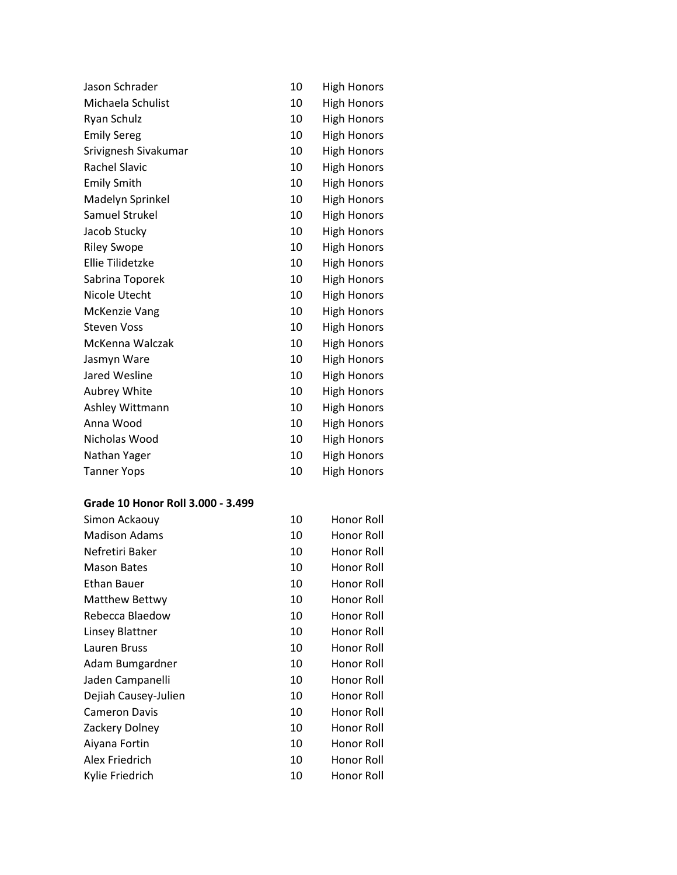| Jason Schrader       | 10 | <b>High Honors</b> |
|----------------------|----|--------------------|
| Michaela Schulist    | 10 | <b>High Honors</b> |
| Ryan Schulz          | 10 | <b>High Honors</b> |
| <b>Emily Sereg</b>   | 10 | <b>High Honors</b> |
| Srivignesh Sivakumar | 10 | <b>High Honors</b> |
| <b>Rachel Slavic</b> | 10 | <b>High Honors</b> |
| <b>Emily Smith</b>   | 10 | <b>High Honors</b> |
| Madelyn Sprinkel     | 10 | <b>High Honors</b> |
| Samuel Strukel       | 10 | <b>High Honors</b> |
| Jacob Stucky         | 10 | <b>High Honors</b> |
| <b>Riley Swope</b>   | 10 | <b>High Honors</b> |
| Ellie Tilidetzke     | 10 | <b>High Honors</b> |
| Sabrina Toporek      | 10 | <b>High Honors</b> |
| Nicole Utecht        | 10 | <b>High Honors</b> |
| <b>McKenzie Vang</b> | 10 | <b>High Honors</b> |
| <b>Steven Voss</b>   | 10 | <b>High Honors</b> |
| McKenna Walczak      | 10 | <b>High Honors</b> |
| Jasmyn Ware          | 10 | <b>High Honors</b> |
| Jared Wesline        | 10 | <b>High Honors</b> |
| Aubrey White         | 10 | <b>High Honors</b> |
| Ashley Wittmann      | 10 | <b>High Honors</b> |
| Anna Wood            | 10 | <b>High Honors</b> |
| Nicholas Wood        | 10 | <b>High Honors</b> |
| Nathan Yager         | 10 | <b>High Honors</b> |
| <b>Tanner Yops</b>   | 10 | <b>High Honors</b> |

## **Grade 10 Honor Roll 3.000 - 3.499**

| Simon Ackaouy        | 10 | Honor Roll |
|----------------------|----|------------|
| <b>Madison Adams</b> | 10 | Honor Roll |
| Nefretiri Baker      | 10 | Honor Roll |
| <b>Mason Bates</b>   | 10 | Honor Roll |
| Ethan Bauer          | 10 | Honor Roll |
| Matthew Bettwy       | 10 | Honor Roll |
| Rebecca Blaedow      | 10 | Honor Roll |
| Linsey Blattner      | 10 | Honor Roll |
| Lauren Bruss         | 10 | Honor Roll |
| Adam Bumgardner      | 10 | Honor Roll |
| Jaden Campanelli     | 10 | Honor Roll |
| Dejiah Causey-Julien | 10 | Honor Roll |
| <b>Cameron Davis</b> | 10 | Honor Roll |
| Zackery Dolney       | 10 | Honor Roll |
| Aiyana Fortin        | 10 | Honor Roll |
| Alex Friedrich       | 10 | Honor Roll |
| Kylie Friedrich      | 10 | Honor Roll |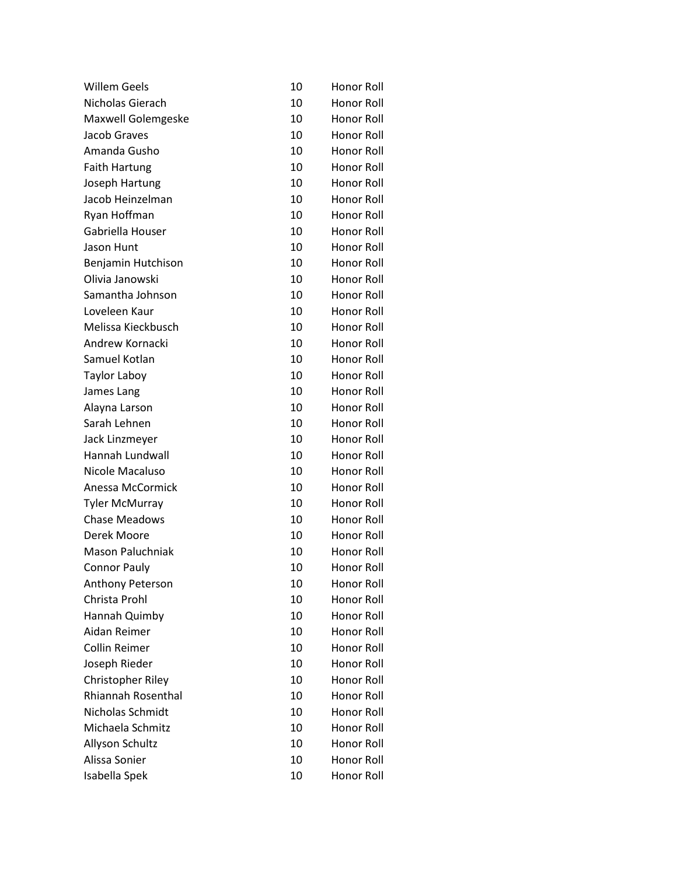| 10 | Honor Roll        |
|----|-------------------|
| 10 | <b>Honor Roll</b> |
| 10 | <b>Honor Roll</b> |
| 10 | Honor Roll        |
| 10 | Honor Roll        |
| 10 | Honor Roll        |
| 10 | Honor Roll        |
| 10 | <b>Honor Roll</b> |
| 10 | Honor Roll        |
| 10 | Honor Roll        |
| 10 | Honor Roll        |
| 10 | Honor Roll        |
| 10 | Honor Roll        |
| 10 | Honor Roll        |
| 10 | Honor Roll        |
| 10 | Honor Roll        |
| 10 | Honor Roll        |
| 10 | <b>Honor Roll</b> |
| 10 | <b>Honor Roll</b> |
| 10 | <b>Honor Roll</b> |
| 10 | Honor Roll        |
| 10 | Honor Roll        |
| 10 | Honor Roll        |
| 10 | Honor Roll        |
| 10 | Honor Roll        |
| 10 | Honor Roll        |
| 10 | Honor Roll        |
| 10 | Honor Roll        |
| 10 | Honor Roll        |
| 10 | Honor Roll        |
| 10 | Honor Roll        |
| 10 | Honor Roll        |
| 10 | Honor Roll        |
| 10 | Honor Roll        |
| 10 | Honor Roll        |
| 10 | Honor Roll        |
| 10 | Honor Roll        |
| 10 | <b>Honor Roll</b> |
| 10 | <b>Honor Roll</b> |
| 10 | Honor Roll        |
| 10 | Honor Roll        |
| 10 | Honor Roll        |
| 10 | Honor Roll        |
| 10 | Honor Roll        |
|    |                   |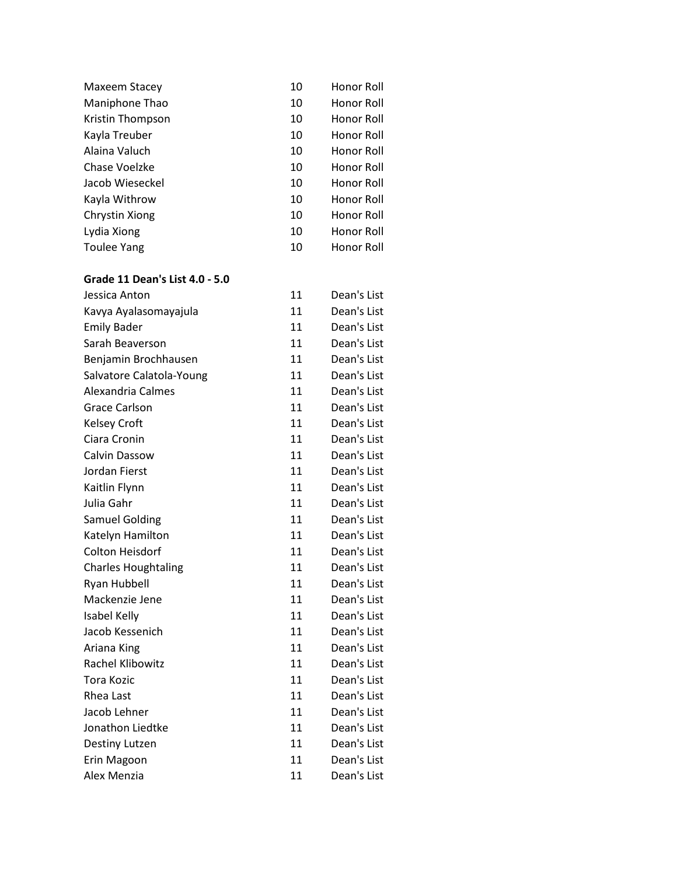| Maxeem Stacey    | 10 | Honor Roll |
|------------------|----|------------|
| Maniphone Thao   | 10 | Honor Roll |
| Kristin Thompson | 10 | Honor Roll |
| Kayla Treuber    | 10 | Honor Roll |
| Alaina Valuch    | 10 | Honor Roll |
| Chase Voelzke    | 10 | Honor Roll |
| Jacob Wieseckel  | 10 | Honor Roll |
| Kayla Withrow    | 10 | Honor Roll |
| Chrystin Xiong   | 10 | Honor Roll |
| Lydia Xiong      | 10 | Honor Roll |
| Toulee Yang      | 10 | Honor Roll |
|                  |    |            |

#### **Grade 11 Dean's List 4.0 - 5.0**

| Jessica Anton              | 11 | Dean's List |
|----------------------------|----|-------------|
| Kavya Ayalasomayajula      | 11 | Dean's List |
| <b>Emily Bader</b>         | 11 | Dean's List |
| Sarah Beaverson            | 11 | Dean's List |
| Benjamin Brochhausen       | 11 | Dean's List |
| Salvatore Calatola-Young   | 11 | Dean's List |
| Alexandria Calmes          | 11 | Dean's List |
| <b>Grace Carlson</b>       | 11 | Dean's List |
| <b>Kelsey Croft</b>        | 11 | Dean's List |
| Ciara Cronin               | 11 | Dean's List |
| Calvin Dassow              | 11 | Dean's List |
| Jordan Fierst              | 11 | Dean's List |
| Kaitlin Flynn              | 11 | Dean's List |
| Julia Gahr                 | 11 | Dean's List |
| <b>Samuel Golding</b>      | 11 | Dean's List |
| Katelyn Hamilton           | 11 | Dean's List |
| Colton Heisdorf            | 11 | Dean's List |
| <b>Charles Houghtaling</b> | 11 | Dean's List |
| Ryan Hubbell               | 11 | Dean's List |
| Mackenzie Jene             | 11 | Dean's List |
| Isabel Kelly               | 11 | Dean's List |
| Jacob Kessenich            | 11 | Dean's List |
| Ariana King                | 11 | Dean's List |
| <b>Rachel Klibowitz</b>    | 11 | Dean's List |
| <b>Tora Kozic</b>          | 11 | Dean's List |
| Rhea Last                  | 11 | Dean's List |
| Jacob Lehner               | 11 | Dean's List |
| Jonathon Liedtke           | 11 | Dean's List |
| Destiny Lutzen             | 11 | Dean's List |
| Erin Magoon                | 11 | Dean's List |
| Alex Menzia                | 11 | Dean's List |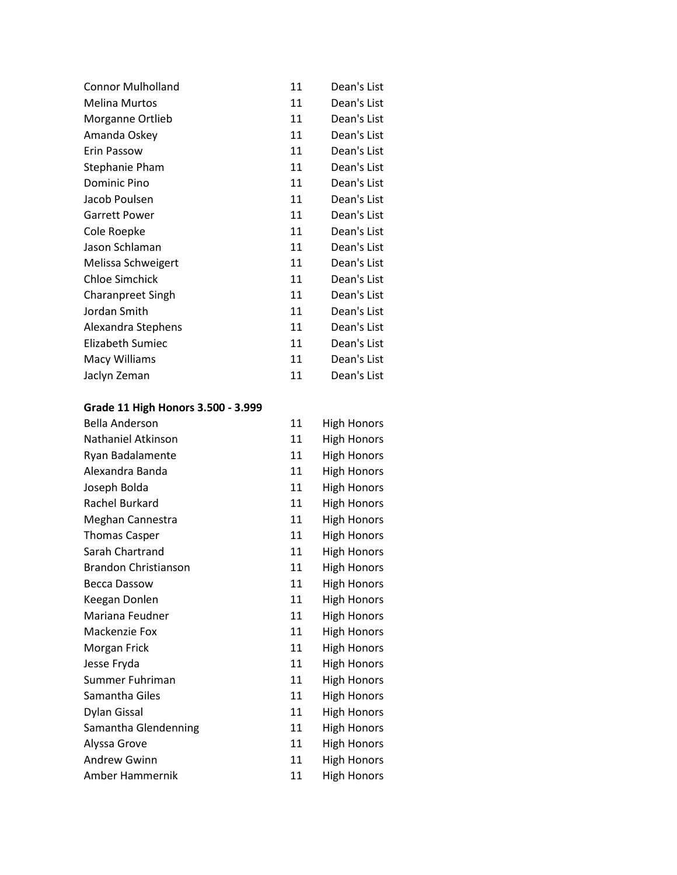| <b>Connor Mulholland</b> | 11 | Dean's List |
|--------------------------|----|-------------|
| <b>Melina Murtos</b>     | 11 | Dean's List |
| Morganne Ortlieb         | 11 | Dean's List |
| Amanda Oskey             | 11 | Dean's List |
| Erin Passow              | 11 | Dean's List |
| Stephanie Pham           | 11 | Dean's List |
| Dominic Pino             | 11 | Dean's List |
| Jacob Poulsen            | 11 | Dean's List |
| <b>Garrett Power</b>     | 11 | Dean's List |
| Cole Roepke              | 11 | Dean's List |
| Jason Schlaman           | 11 | Dean's List |
| Melissa Schweigert       | 11 | Dean's List |
| <b>Chloe Simchick</b>    | 11 | Dean's List |
| <b>Charanpreet Singh</b> | 11 | Dean's List |
| Jordan Smith             | 11 | Dean's List |
| Alexandra Stephens       | 11 | Dean's List |
| Elizabeth Sumiec         | 11 | Dean's List |
| <b>Macy Williams</b>     | 11 | Dean's List |
| Jaclyn Zeman             | 11 | Dean's List |

# **Grade 11 High Honors 3.500 - 3.999**

| <b>Bella Anderson</b>       | 11 | <b>High Honors</b> |
|-----------------------------|----|--------------------|
| Nathaniel Atkinson          | 11 | <b>High Honors</b> |
| Ryan Badalamente            | 11 | <b>High Honors</b> |
| Alexandra Banda             | 11 | <b>High Honors</b> |
| Joseph Bolda                | 11 | <b>High Honors</b> |
| Rachel Burkard              | 11 | <b>High Honors</b> |
| Meghan Cannestra            | 11 | <b>High Honors</b> |
| <b>Thomas Casper</b>        | 11 | <b>High Honors</b> |
| Sarah Chartrand             | 11 | <b>High Honors</b> |
| <b>Brandon Christianson</b> | 11 | <b>High Honors</b> |
| Becca Dassow                | 11 | <b>High Honors</b> |
| Keegan Donlen               | 11 | <b>High Honors</b> |
| Mariana Feudner             | 11 | <b>High Honors</b> |
| Mackenzie Fox               | 11 | <b>High Honors</b> |
| Morgan Frick                | 11 | <b>High Honors</b> |
| Jesse Fryda                 | 11 | <b>High Honors</b> |
| Summer Fuhriman             | 11 | <b>High Honors</b> |
| Samantha Giles              | 11 | <b>High Honors</b> |
| <b>Dylan Gissal</b>         | 11 | <b>High Honors</b> |
| Samantha Glendenning        | 11 | <b>High Honors</b> |
| Alyssa Grove                | 11 | <b>High Honors</b> |
| <b>Andrew Gwinn</b>         | 11 | <b>High Honors</b> |
| Amber Hammernik             | 11 | <b>High Honors</b> |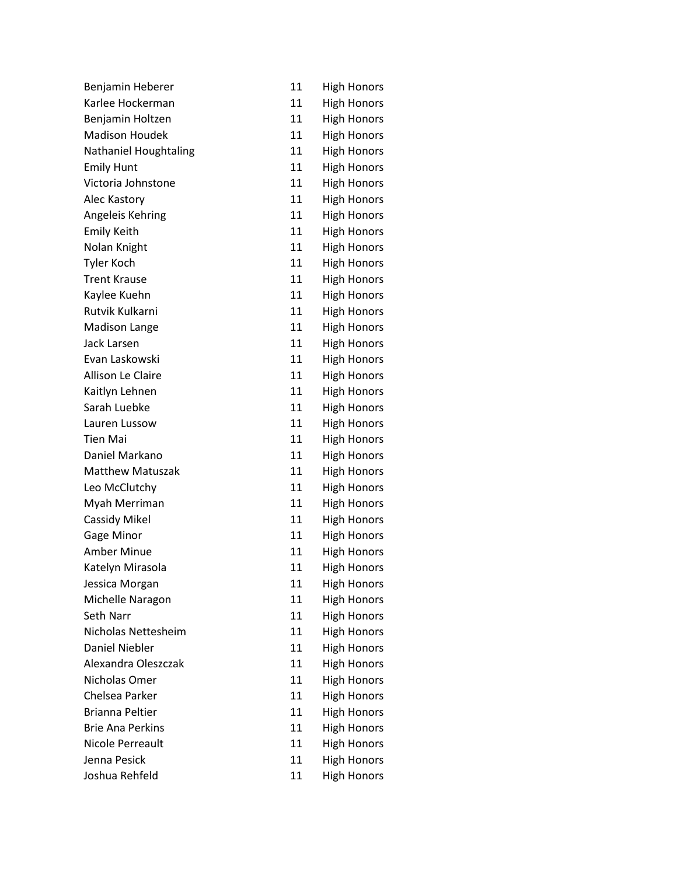| Benjamin Heberer             | 11 | <b>High Honors</b> |
|------------------------------|----|--------------------|
| Karlee Hockerman             | 11 | <b>High Honors</b> |
| Benjamin Holtzen             | 11 | <b>High Honors</b> |
| <b>Madison Houdek</b>        | 11 | <b>High Honors</b> |
| <b>Nathaniel Houghtaling</b> | 11 | <b>High Honors</b> |
| <b>Emily Hunt</b>            | 11 | <b>High Honors</b> |
| Victoria Johnstone           | 11 | <b>High Honors</b> |
| Alec Kastory                 | 11 | <b>High Honors</b> |
| Angeleis Kehring             | 11 | <b>High Honors</b> |
| <b>Emily Keith</b>           | 11 | <b>High Honors</b> |
| Nolan Knight                 | 11 | <b>High Honors</b> |
| <b>Tyler Koch</b>            | 11 | <b>High Honors</b> |
| <b>Trent Krause</b>          | 11 | <b>High Honors</b> |
| Kaylee Kuehn                 | 11 | <b>High Honors</b> |
| Rutvik Kulkarni              | 11 | <b>High Honors</b> |
| <b>Madison Lange</b>         | 11 | <b>High Honors</b> |
| Jack Larsen                  | 11 | <b>High Honors</b> |
| Evan Laskowski               | 11 | <b>High Honors</b> |
| Allison Le Claire            | 11 | <b>High Honors</b> |
| Kaitlyn Lehnen               | 11 | <b>High Honors</b> |
| Sarah Luebke                 | 11 | <b>High Honors</b> |
| Lauren Lussow                | 11 | <b>High Honors</b> |
| <b>Tien Mai</b>              | 11 | <b>High Honors</b> |
| Daniel Markano               | 11 | <b>High Honors</b> |
| <b>Matthew Matuszak</b>      | 11 | <b>High Honors</b> |
| Leo McClutchy                | 11 | <b>High Honors</b> |
| Myah Merriman                | 11 | <b>High Honors</b> |
| <b>Cassidy Mikel</b>         | 11 | <b>High Honors</b> |
| Gage Minor                   | 11 | <b>High Honors</b> |
| <b>Amber Minue</b>           | 11 | <b>High Honors</b> |
| Katelyn Mirasola             | 11 | <b>High Honors</b> |
| Jessica Morgan               | 11 | <b>High Honors</b> |
| Michelle Naragon             | 11 | <b>High Honors</b> |
| Seth Narr                    | 11 | <b>High Honors</b> |
| Nicholas Nettesheim          | 11 | <b>High Honors</b> |
| <b>Daniel Niebler</b>        | 11 | <b>High Honors</b> |
| Alexandra Oleszczak          | 11 | <b>High Honors</b> |
| Nicholas Omer                | 11 | <b>High Honors</b> |
| Chelsea Parker               | 11 | <b>High Honors</b> |
| <b>Brianna Peltier</b>       | 11 | <b>High Honors</b> |
| <b>Brie Ana Perkins</b>      | 11 | <b>High Honors</b> |
| Nicole Perreault             | 11 | <b>High Honors</b> |
| Jenna Pesick                 | 11 | <b>High Honors</b> |
| Joshua Rehfeld               | 11 | <b>High Honors</b> |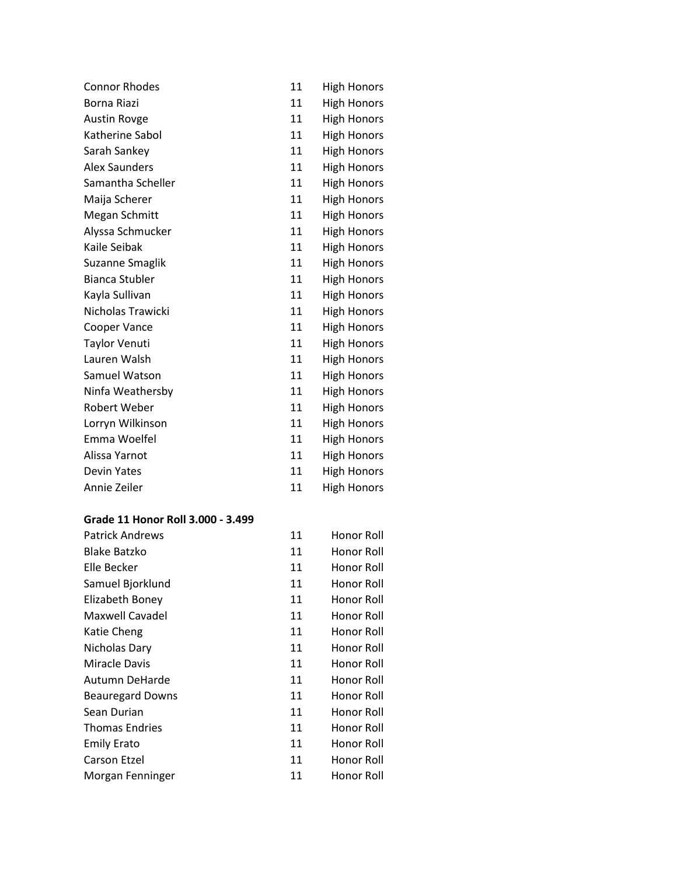| <b>Connor Rhodes</b>  | 11 | <b>High Honors</b> |
|-----------------------|----|--------------------|
| Borna Riazi           | 11 | <b>High Honors</b> |
| <b>Austin Rovge</b>   | 11 | <b>High Honors</b> |
| Katherine Sabol       | 11 | <b>High Honors</b> |
| Sarah Sankey          | 11 | <b>High Honors</b> |
| <b>Alex Saunders</b>  | 11 | <b>High Honors</b> |
| Samantha Scheller     | 11 | <b>High Honors</b> |
| Maija Scherer         | 11 | <b>High Honors</b> |
| Megan Schmitt         | 11 | <b>High Honors</b> |
| Alyssa Schmucker      | 11 | <b>High Honors</b> |
| Kaile Seibak          | 11 | <b>High Honors</b> |
| Suzanne Smaglik       | 11 | <b>High Honors</b> |
| <b>Bianca Stubler</b> | 11 | <b>High Honors</b> |
| Kayla Sullivan        | 11 | <b>High Honors</b> |
| Nicholas Trawicki     | 11 | <b>High Honors</b> |
| <b>Cooper Vance</b>   | 11 | <b>High Honors</b> |
| Taylor Venuti         | 11 | <b>High Honors</b> |
| Lauren Walsh          | 11 | <b>High Honors</b> |
| Samuel Watson         | 11 | <b>High Honors</b> |
| Ninfa Weathersby      | 11 | <b>High Honors</b> |
| <b>Robert Weber</b>   | 11 | <b>High Honors</b> |
| Lorryn Wilkinson      | 11 | <b>High Honors</b> |
| Emma Woelfel          | 11 | <b>High Honors</b> |
| Alissa Yarnot         | 11 | <b>High Honors</b> |
| <b>Devin Yates</b>    | 11 | <b>High Honors</b> |
| Annie Zeiler          | 11 | <b>High Honors</b> |

### **Grade 11 Honor Roll 3.000 - 3.499**

| <b>Patrick Andrews</b>  | 11 | Honor Roll |
|-------------------------|----|------------|
| <b>Blake Batzko</b>     | 11 | Honor Roll |
| Elle Becker             | 11 | Honor Roll |
| Samuel Bjorklund        | 11 | Honor Roll |
| Elizabeth Boney         | 11 | Honor Roll |
| Maxwell Cavadel         | 11 | Honor Roll |
| Katie Cheng             | 11 | Honor Roll |
| Nicholas Dary           | 11 | Honor Roll |
| <b>Miracle Davis</b>    | 11 | Honor Roll |
| Autumn DeHarde          | 11 | Honor Roll |
| <b>Beauregard Downs</b> | 11 | Honor Roll |
| Sean Durian             | 11 | Honor Roll |
| <b>Thomas Endries</b>   | 11 | Honor Roll |
| <b>Emily Erato</b>      | 11 | Honor Roll |
| <b>Carson Etzel</b>     | 11 | Honor Roll |
| Morgan Fenninger        | 11 | Honor Roll |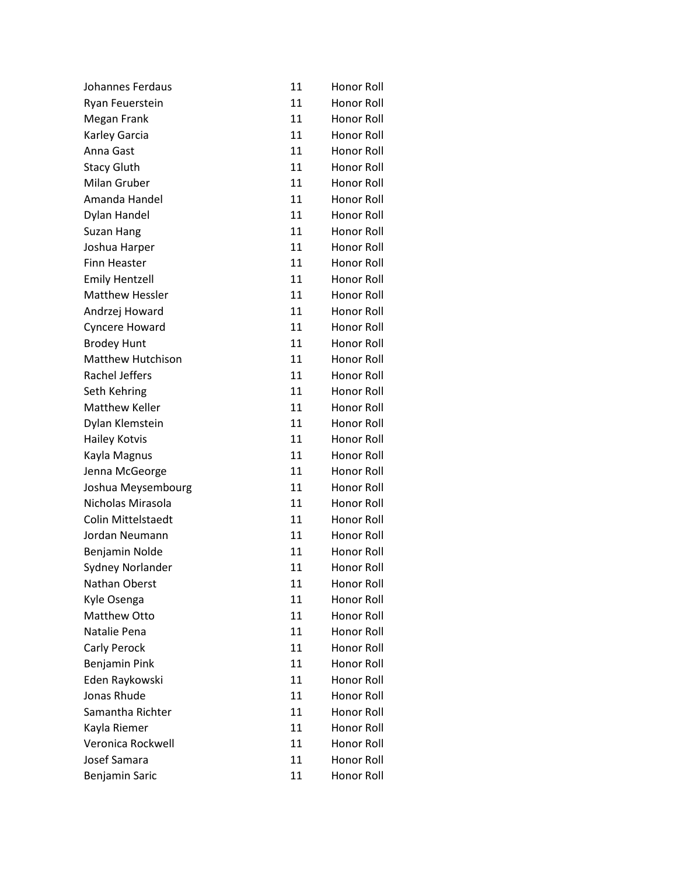| Johannes Ferdaus          | 11 | Honor Roll        |
|---------------------------|----|-------------------|
| Ryan Feuerstein           | 11 | <b>Honor Roll</b> |
| Megan Frank               | 11 | <b>Honor Roll</b> |
| Karley Garcia             | 11 | Honor Roll        |
| Anna Gast                 | 11 | Honor Roll        |
| <b>Stacy Gluth</b>        | 11 | Honor Roll        |
| Milan Gruber              | 11 | Honor Roll        |
| Amanda Handel             | 11 | Honor Roll        |
| Dylan Handel              | 11 | <b>Honor Roll</b> |
| Suzan Hang                | 11 | <b>Honor Roll</b> |
| Joshua Harper             | 11 | Honor Roll        |
| <b>Finn Heaster</b>       | 11 | Honor Roll        |
| <b>Emily Hentzell</b>     | 11 | Honor Roll        |
| <b>Matthew Hessler</b>    | 11 | Honor Roll        |
| Andrzej Howard            | 11 | Honor Roll        |
| Cyncere Howard            | 11 | Honor Roll        |
| <b>Brodey Hunt</b>        | 11 | Honor Roll        |
| <b>Matthew Hutchison</b>  | 11 | Honor Roll        |
| Rachel Jeffers            | 11 | Honor Roll        |
| Seth Kehring              | 11 | <b>Honor Roll</b> |
| <b>Matthew Keller</b>     | 11 | Honor Roll        |
| Dylan Klemstein           | 11 | Honor Roll        |
| <b>Hailey Kotvis</b>      | 11 | Honor Roll        |
| Kayla Magnus              | 11 | Honor Roll        |
| Jenna McGeorge            | 11 | Honor Roll        |
| Joshua Meysembourg        | 11 | Honor Roll        |
| Nicholas Mirasola         | 11 | Honor Roll        |
| <b>Colin Mittelstaedt</b> | 11 | <b>Honor Roll</b> |
| Jordan Neumann            | 11 | Honor Roll        |
| Benjamin Nolde            | 11 | Honor Roll        |
| Sydney Norlander          | 11 | Honor Roll        |
| Nathan Oberst             | 11 | Honor Roll        |
| Kyle Osenga               | 11 | <b>Honor Roll</b> |
| <b>Matthew Otto</b>       | 11 | Honor Roll        |
| Natalie Pena              | 11 | Honor Roll        |
| Carly Perock              | 11 | <b>Honor Roll</b> |
| Benjamin Pink             | 11 | Honor Roll        |
| Eden Raykowski            | 11 | Honor Roll        |
| Jonas Rhude               | 11 | Honor Roll        |
| Samantha Richter          | 11 | Honor Roll        |
| Kayla Riemer              | 11 | <b>Honor Roll</b> |
| Veronica Rockwell         | 11 | Honor Roll        |
| Josef Samara              | 11 | Honor Roll        |
| Benjamin Saric            | 11 | Honor Roll        |
|                           |    |                   |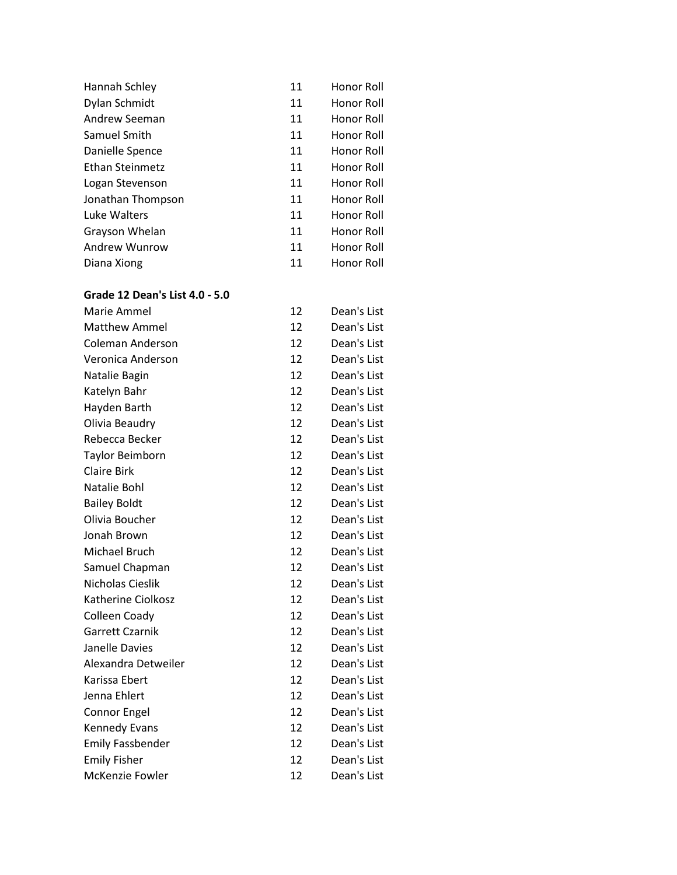| 11 | Honor Roll |
|----|------------|
| 11 | Honor Roll |
| 11 | Honor Roll |
| 11 | Honor Roll |
| 11 | Honor Roll |
| 11 | Honor Roll |
| 11 | Honor Roll |
| 11 | Honor Roll |
| 11 | Honor Roll |
| 11 | Honor Roll |
| 11 | Honor Roll |
| 11 | Honor Roll |
|    |            |

#### **Grade 12 Dean's List 4.0 - 5.0**

| Marie Ammel             | 12 | Dean's List |
|-------------------------|----|-------------|
| <b>Matthew Ammel</b>    | 12 | Dean's List |
| <b>Coleman Anderson</b> | 12 | Dean's List |
| Veronica Anderson       | 12 | Dean's List |
| Natalie Bagin           | 12 | Dean's List |
| Katelyn Bahr            | 12 | Dean's List |
| Hayden Barth            | 12 | Dean's List |
| Olivia Beaudry          | 12 | Dean's List |
| Rebecca Becker          | 12 | Dean's List |
| <b>Taylor Beimborn</b>  | 12 | Dean's List |
| <b>Claire Birk</b>      | 12 | Dean's List |
| Natalie Bohl            | 12 | Dean's List |
| <b>Bailey Boldt</b>     | 12 | Dean's List |
| Olivia Boucher          | 12 | Dean's List |
| Jonah Brown             | 12 | Dean's List |
| Michael Bruch           | 12 | Dean's List |
| Samuel Chapman          | 12 | Dean's List |
| Nicholas Cieslik        | 12 | Dean's List |
| Katherine Ciolkosz      | 12 | Dean's List |
| Colleen Coady           | 12 | Dean's List |
| <b>Garrett Czarnik</b>  | 12 | Dean's List |
| Janelle Davies          | 12 | Dean's List |
| Alexandra Detweiler     | 12 | Dean's List |
| Karissa Ebert           | 12 | Dean's List |
| Jenna Ehlert            | 12 | Dean's List |
| <b>Connor Engel</b>     | 12 | Dean's List |
| Kennedy Evans           | 12 | Dean's List |
| <b>Emily Fassbender</b> | 12 | Dean's List |
| <b>Emily Fisher</b>     | 12 | Dean's List |
| McKenzie Fowler         | 12 | Dean's List |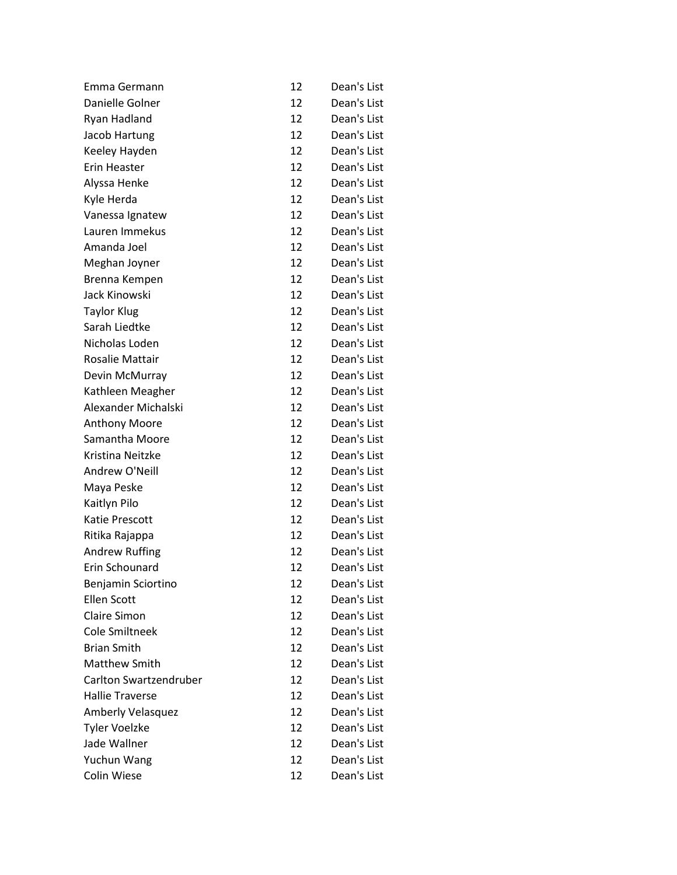| Emma Germann             | 12 | Dean's List |
|--------------------------|----|-------------|
| Danielle Golner          | 12 | Dean's List |
| Ryan Hadland             | 12 | Dean's List |
| Jacob Hartung            | 12 | Dean's List |
| Keeley Hayden            | 12 | Dean's List |
| Erin Heaster             | 12 | Dean's List |
| Alyssa Henke             | 12 | Dean's List |
| Kyle Herda               | 12 | Dean's List |
| Vanessa Ignatew          | 12 | Dean's List |
| Lauren Immekus           | 12 | Dean's List |
| Amanda Joel              | 12 | Dean's List |
| Meghan Joyner            | 12 | Dean's List |
| Brenna Kempen            | 12 | Dean's List |
| Jack Kinowski            | 12 | Dean's List |
| <b>Taylor Klug</b>       | 12 | Dean's List |
| Sarah Liedtke            | 12 | Dean's List |
| Nicholas Loden           | 12 | Dean's List |
| Rosalie Mattair          | 12 | Dean's List |
| Devin McMurray           | 12 | Dean's List |
| Kathleen Meagher         | 12 | Dean's List |
| Alexander Michalski      | 12 | Dean's List |
| <b>Anthony Moore</b>     | 12 | Dean's List |
| Samantha Moore           | 12 | Dean's List |
| Kristina Neitzke         | 12 | Dean's List |
| Andrew O'Neill           | 12 | Dean's List |
| Maya Peske               | 12 | Dean's List |
| Kaitlyn Pilo             | 12 | Dean's List |
| Katie Prescott           | 12 | Dean's List |
| Ritika Rajappa           | 12 | Dean's List |
| <b>Andrew Ruffing</b>    | 12 | Dean's List |
| Erin Schounard           | 12 | Dean's List |
| Benjamin Sciortino       | 12 | Dean's List |
| <b>Ellen Scott</b>       | 12 | Dean's List |
| <b>Claire Simon</b>      | 12 | Dean's List |
| <b>Cole Smiltneek</b>    | 12 | Dean's List |
| <b>Brian Smith</b>       | 12 | Dean's List |
| <b>Matthew Smith</b>     | 12 | Dean's List |
| Carlton Swartzendruber   | 12 | Dean's List |
| <b>Hallie Traverse</b>   | 12 | Dean's List |
| <b>Amberly Velasquez</b> | 12 | Dean's List |
| <b>Tyler Voelzke</b>     | 12 | Dean's List |
| Jade Wallner             | 12 | Dean's List |
| Yuchun Wang              | 12 | Dean's List |
| Colin Wiese              | 12 | Dean's List |
|                          |    |             |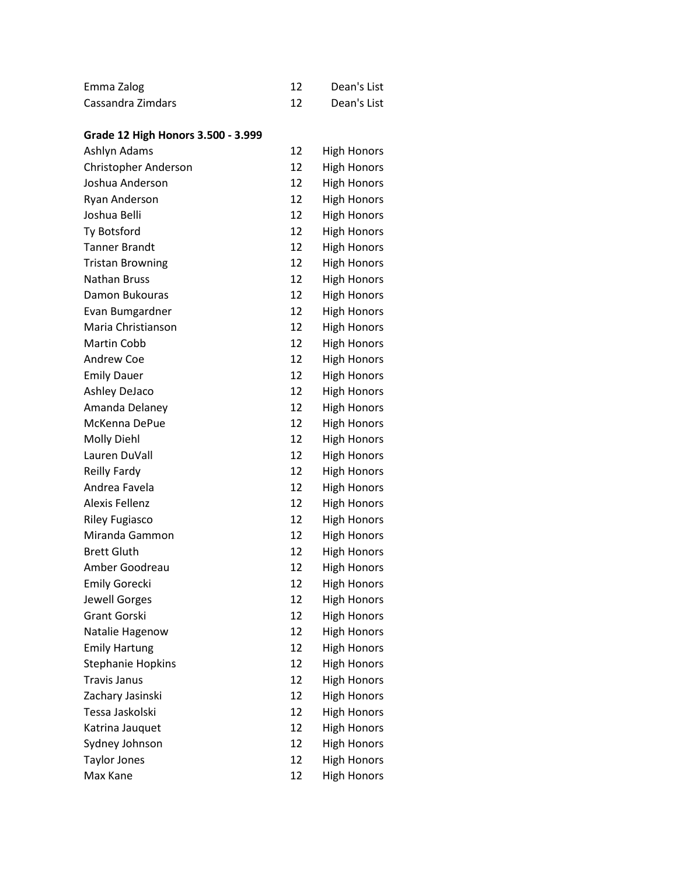| Emma Zalog        | Dean's List |
|-------------------|-------------|
| Cassandra Zimdars | Dean's List |

# **Grade 12 High Honors 3.500 - 3.999**

| Ashlyn Adams             | 12 | High Honors        |
|--------------------------|----|--------------------|
| Christopher Anderson     | 12 | <b>High Honors</b> |
| Joshua Anderson          | 12 | <b>High Honors</b> |
| Ryan Anderson            | 12 | <b>High Honors</b> |
| Joshua Belli             | 12 | <b>High Honors</b> |
| Ty Botsford              | 12 | <b>High Honors</b> |
| <b>Tanner Brandt</b>     | 12 | <b>High Honors</b> |
| <b>Tristan Browning</b>  | 12 | <b>High Honors</b> |
| <b>Nathan Bruss</b>      | 12 | <b>High Honors</b> |
| Damon Bukouras           | 12 | <b>High Honors</b> |
| Evan Bumgardner          | 12 | <b>High Honors</b> |
| Maria Christianson       | 12 | <b>High Honors</b> |
| Martin Cobb              | 12 | <b>High Honors</b> |
| <b>Andrew Coe</b>        | 12 | <b>High Honors</b> |
| <b>Emily Dauer</b>       | 12 | <b>High Honors</b> |
| <b>Ashley DeJaco</b>     | 12 | <b>High Honors</b> |
| Amanda Delaney           | 12 | <b>High Honors</b> |
| McKenna DePue            | 12 | <b>High Honors</b> |
| <b>Molly Diehl</b>       | 12 | <b>High Honors</b> |
| Lauren DuVall            | 12 | <b>High Honors</b> |
| <b>Reilly Fardy</b>      | 12 | <b>High Honors</b> |
| Andrea Favela            | 12 | <b>High Honors</b> |
| <b>Alexis Fellenz</b>    | 12 | <b>High Honors</b> |
| <b>Riley Fugiasco</b>    | 12 | <b>High Honors</b> |
| Miranda Gammon           | 12 | <b>High Honors</b> |
| <b>Brett Gluth</b>       | 12 | <b>High Honors</b> |
| Amber Goodreau           | 12 | <b>High Honors</b> |
| <b>Emily Gorecki</b>     | 12 | <b>High Honors</b> |
| Jewell Gorges            | 12 | <b>High Honors</b> |
| <b>Grant Gorski</b>      | 12 | <b>High Honors</b> |
| Natalie Hagenow          | 12 | <b>High Honors</b> |
| <b>Emily Hartung</b>     | 12 | <b>High Honors</b> |
| <b>Stephanie Hopkins</b> | 12 | <b>High Honors</b> |
| <b>Travis Janus</b>      | 12 | <b>High Honors</b> |
| Zachary Jasinski         | 12 | <b>High Honors</b> |
| Tessa Jaskolski          | 12 | <b>High Honors</b> |
| Katrina Jauquet          | 12 | <b>High Honors</b> |
| Sydney Johnson           | 12 | <b>High Honors</b> |
| <b>Taylor Jones</b>      | 12 | <b>High Honors</b> |
| Max Kane                 | 12 | <b>High Honors</b> |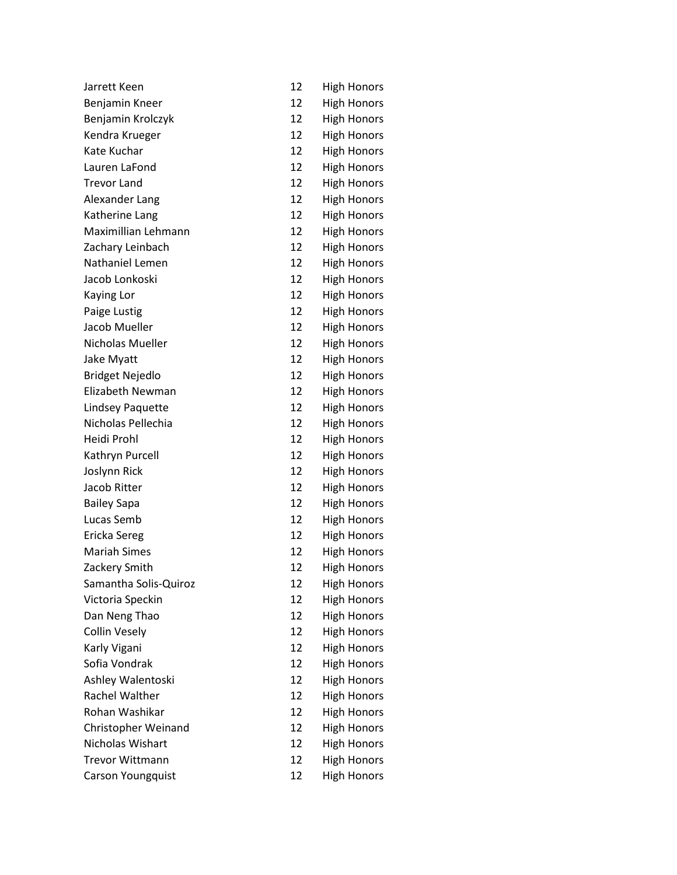| Jarrett Keen           | 12 | <b>High Honors</b> |
|------------------------|----|--------------------|
| Benjamin Kneer         | 12 | <b>High Honors</b> |
| Benjamin Krolczyk      | 12 | <b>High Honors</b> |
| Kendra Krueger         | 12 | <b>High Honors</b> |
| Kate Kuchar            | 12 | <b>High Honors</b> |
| Lauren LaFond          | 12 | <b>High Honors</b> |
| <b>Trevor Land</b>     | 12 | <b>High Honors</b> |
| Alexander Lang         | 12 | <b>High Honors</b> |
| Katherine Lang         | 12 | <b>High Honors</b> |
| Maximillian Lehmann    | 12 | <b>High Honors</b> |
| Zachary Leinbach       | 12 | <b>High Honors</b> |
| Nathaniel Lemen        | 12 | <b>High Honors</b> |
| Jacob Lonkoski         | 12 | <b>High Honors</b> |
| Kaying Lor             | 12 | <b>High Honors</b> |
| Paige Lustig           | 12 | <b>High Honors</b> |
| Jacob Mueller          | 12 | <b>High Honors</b> |
| Nicholas Mueller       | 12 | <b>High Honors</b> |
| Jake Myatt             | 12 | <b>High Honors</b> |
| <b>Bridget Nejedlo</b> | 12 | <b>High Honors</b> |
| Elizabeth Newman       | 12 | <b>High Honors</b> |
| Lindsey Paquette       | 12 | <b>High Honors</b> |
| Nicholas Pellechia     | 12 | <b>High Honors</b> |
| Heidi Prohl            | 12 | <b>High Honors</b> |
| Kathryn Purcell        | 12 | <b>High Honors</b> |
| Joslynn Rick           | 12 | <b>High Honors</b> |
| Jacob Ritter           | 12 | <b>High Honors</b> |
| <b>Bailey Sapa</b>     | 12 | <b>High Honors</b> |
| Lucas Semb             | 12 | <b>High Honors</b> |
| Ericka Sereg           | 12 | <b>High Honors</b> |
| <b>Mariah Simes</b>    | 12 | <b>High Honors</b> |
| Zackery Smith          | 12 | <b>High Honors</b> |
| Samantha Solis-Quiroz  | 12 | <b>High Honors</b> |
| Victoria Speckin       | 12 | <b>High Honors</b> |
| Dan Neng Thao          | 12 | <b>High Honors</b> |
| <b>Collin Vesely</b>   | 12 | <b>High Honors</b> |
| Karly Vigani           | 12 | <b>High Honors</b> |
| Sofia Vondrak          | 12 | <b>High Honors</b> |
| Ashley Walentoski      | 12 | <b>High Honors</b> |
| <b>Rachel Walther</b>  | 12 | <b>High Honors</b> |
| Rohan Washikar         | 12 | <b>High Honors</b> |
| Christopher Weinand    | 12 | <b>High Honors</b> |
| Nicholas Wishart       | 12 | <b>High Honors</b> |
| <b>Trevor Wittmann</b> | 12 | <b>High Honors</b> |
| Carson Youngquist      | 12 | <b>High Honors</b> |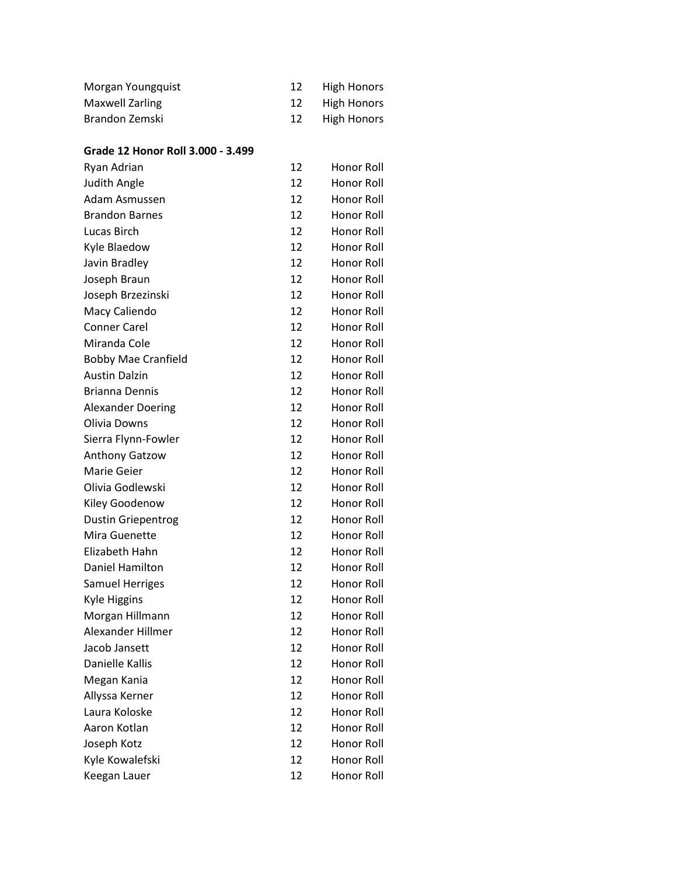| Morgan Youngquist | High Honors    |
|-------------------|----------------|
| Maxwell Zarling   | 12 High Honors |
| Brandon Zemski    | 12 High Honors |

#### **Grade 12 Honor Roll 3.000 - 3.499**

| 12 | <b>Honor Roll</b> |
|----|-------------------|
| 12 | Honor Roll        |
| 12 | Honor Roll        |
| 12 | Honor Roll        |
| 12 | Honor Roll        |
| 12 | Honor Roll        |
| 12 | Honor Roll        |
| 12 | Honor Roll        |
| 12 | Honor Roll        |
| 12 | Honor Roll        |
| 12 | Honor Roll        |
| 12 | Honor Roll        |
| 12 | Honor Roll        |
| 12 | Honor Roll        |
| 12 | Honor Roll        |
| 12 | Honor Roll        |
| 12 | Honor Roll        |
| 12 | <b>Honor Roll</b> |
| 12 | Honor Roll        |
| 12 | Honor Roll        |
| 12 | Honor Roll        |
| 12 | Honor Roll        |
| 12 | Honor Roll        |
| 12 | Honor Roll        |
| 12 | Honor Roll        |
| 12 | Honor Roll        |
| 12 | Honor Roll        |
| 12 | Honor Roll        |
| 12 | Honor Roll        |
| 12 | Honor Roll        |
| 12 | Honor Roll        |
| 12 | Honor Roll        |
| 12 | Honor Roll        |
| 12 | <b>Honor Roll</b> |
| 12 | Honor Roll        |
| 12 | Honor Roll        |
| 12 | Honor Roll        |
| 12 | Honor Roll        |
| 12 | Honor Roll        |
|    |                   |